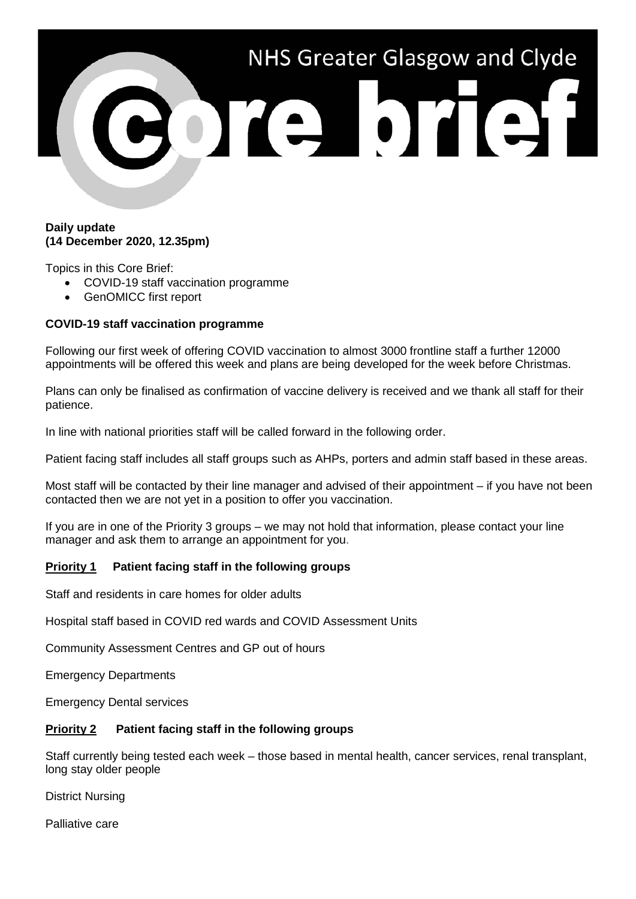

#### **Daily update (14 December 2020, 12.35pm)**

Topics in this Core Brief:

- COVID-19 staff vaccination programme
- GenOMICC first report

# **COVID-19 staff vaccination programme**

Following our first week of offering COVID vaccination to almost 3000 frontline staff a further 12000 appointments will be offered this week and plans are being developed for the week before Christmas.

Plans can only be finalised as confirmation of vaccine delivery is received and we thank all staff for their patience.

In line with national priorities staff will be called forward in the following order.

Patient facing staff includes all staff groups such as AHPs, porters and admin staff based in these areas.

Most staff will be contacted by their line manager and advised of their appointment – if you have not been contacted then we are not yet in a position to offer you vaccination.

If you are in one of the Priority 3 groups – we may not hold that information, please contact your line manager and ask them to arrange an appointment for you.

# **Priority 1 Patient facing staff in the following groups**

Staff and residents in care homes for older adults

Hospital staff based in COVID red wards and COVID Assessment Units

Community Assessment Centres and GP out of hours

Emergency Departments

Emergency Dental services

## **Priority 2 Patient facing staff in the following groups**

Staff currently being tested each week – those based in mental health, cancer services, renal transplant, long stay older people

District Nursing

Palliative care